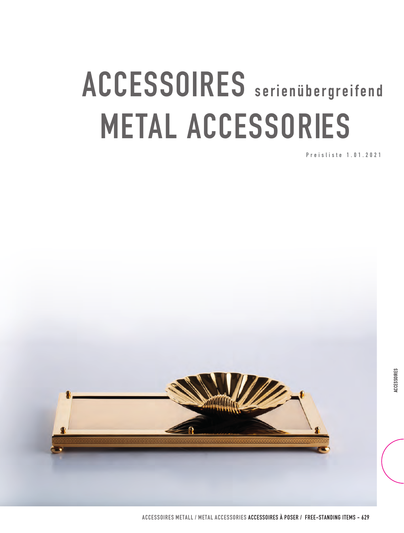## **ACCESSOIRES METAL ACCESSORIES**

**Preisliste 1.01.2021**

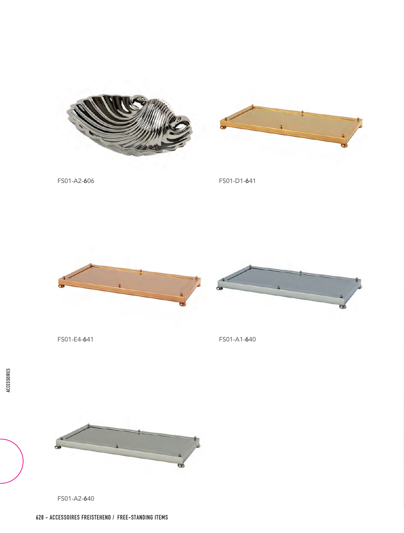



FS01-A2-606 FS01-D1-641





FS01-E4-641 FS01-A1-640



FS01-A2-640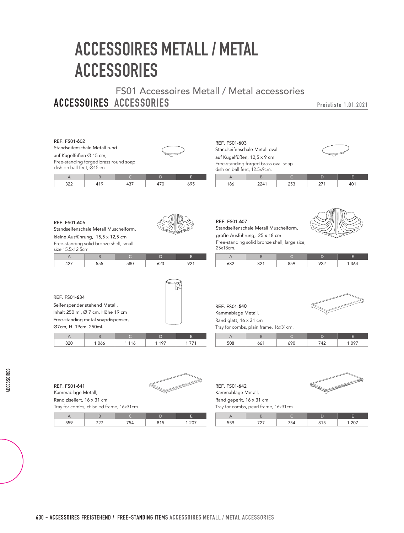## **accessoires mETALL / metal accessories**

**ACCESSOIRES ACCESSORIES** FS01 Accessoires Metall / Metal accessories

**Preisliste 1.01.2021**